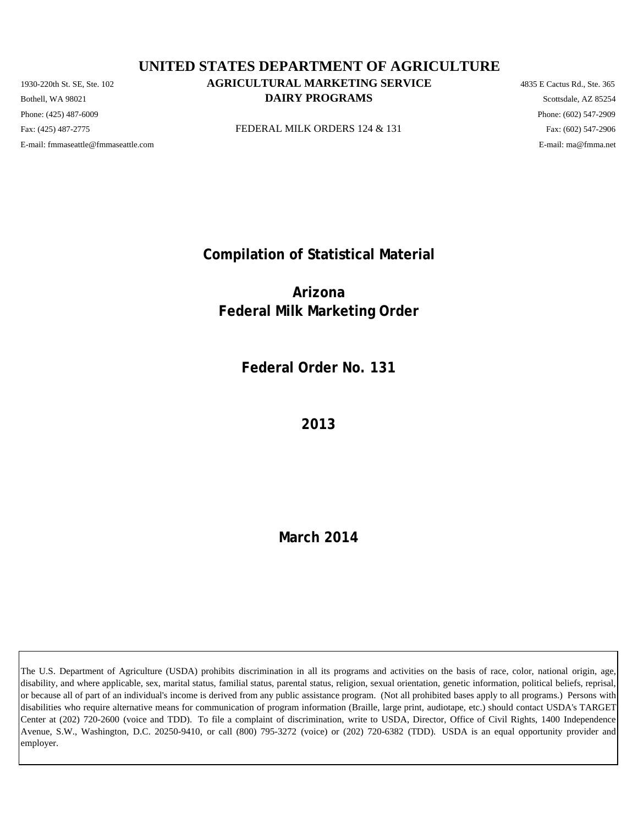Phone: (425) 487-6009 Phone: (602) 547-2909 E-mail: fmmaseattle@fmmaseattle.com E-mail: ma@fmma.net

# 1930-220th St. SE, Ste. 102 **AGRICULTURAL MARKETING SERVICE** 4835 E Cactus Rd., Ste. 365 **DAIRY PROGRAMS** Scottsdale, AZ 85254 **UNITED STATES DEPARTMENT OF AGRICULTURE**

Fax: (425) 487-2775 **FEDERAL MILK ORDERS 124 & 131** Fax: (425) 487-2775 Fax: (602) 547-2906

**Compilation of Statistical Material**

**Arizona Federal Milk Marketing Order**

**Federal Order No. 131**

**2013**

**March 2014**

The U.S. Department of Agriculture (USDA) prohibits discrimination in all its programs and activities on the basis of race, color, national origin, age, disability, and where applicable, sex, marital status, familial status, parental status, religion, sexual orientation, genetic information, political beliefs, reprisal, or because all of part of an individual's income is derived from any public assistance program. (Not all prohibited bases apply to all programs.) Persons with disabilities who require alternative means for communication of program information (Braille, large print, audiotape, etc.) should contact USDA's TARGET Center at (202) 720-2600 (voice and TDD). To file a complaint of discrimination, write to USDA, Director, Office of Civil Rights, 1400 Independence Avenue, S.W., Washington, D.C. 20250-9410, or call (800) 795-3272 (voice) or (202) 720-6382 (TDD). USDA is an equal opportunity provider and employer.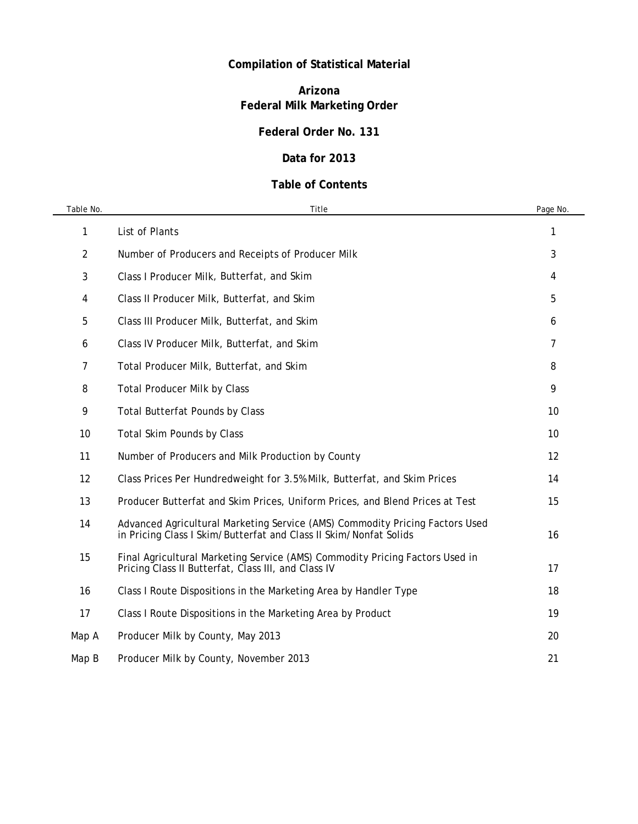# **Compilation of Statistical Material**

# **Arizona Federal Milk Marketing Order**

## **Federal Order No. 131**

### **Data for 2013**

## **Table of Contents**

| Table No. | Title                                                                                                                                             | Page No. |
|-----------|---------------------------------------------------------------------------------------------------------------------------------------------------|----------|
| 1         | List of Plants                                                                                                                                    | 1        |
| 2         | Number of Producers and Receipts of Producer Milk                                                                                                 | 3        |
| 3         | Class I Producer Milk, Butterfat, and Skim                                                                                                        | 4        |
| 4         | Class II Producer Milk, Butterfat, and Skim                                                                                                       | 5        |
| 5         | Class III Producer Milk, Butterfat, and Skim                                                                                                      | 6        |
| 6         | Class IV Producer Milk, Butterfat, and Skim                                                                                                       | 7        |
| 7         | Total Producer Milk, Butterfat, and Skim                                                                                                          | 8        |
| 8         | <b>Total Producer Milk by Class</b>                                                                                                               | 9        |
| 9         | <b>Total Butterfat Pounds by Class</b>                                                                                                            | 10       |
| 10        | <b>Total Skim Pounds by Class</b>                                                                                                                 | 10       |
| 11        | Number of Producers and Milk Production by County                                                                                                 | 12       |
| 12        | Class Prices Per Hundredweight for 3.5% Milk, Butterfat, and Skim Prices                                                                          | 14       |
| 13        | Producer Butterfat and Skim Prices, Uniform Prices, and Blend Prices at Test                                                                      | 15       |
| 14        | Advanced Agricultural Marketing Service (AMS) Commodity Pricing Factors Used<br>in Pricing Class I Skim/Butterfat and Class II Skim/Nonfat Solids | 16       |
| 15        | Final Agricultural Marketing Service (AMS) Commodity Pricing Factors Used in<br>Pricing Class II Butterfat, Class III, and Class IV               | 17       |
| 16        | Class I Route Dispositions in the Marketing Area by Handler Type                                                                                  | 18       |
| 17        | Class I Route Dispositions in the Marketing Area by Product                                                                                       | 19       |
| Map A     | Producer Milk by County, May 2013                                                                                                                 | 20       |
| Map B     | Producer Milk by County, November 2013                                                                                                            | 21       |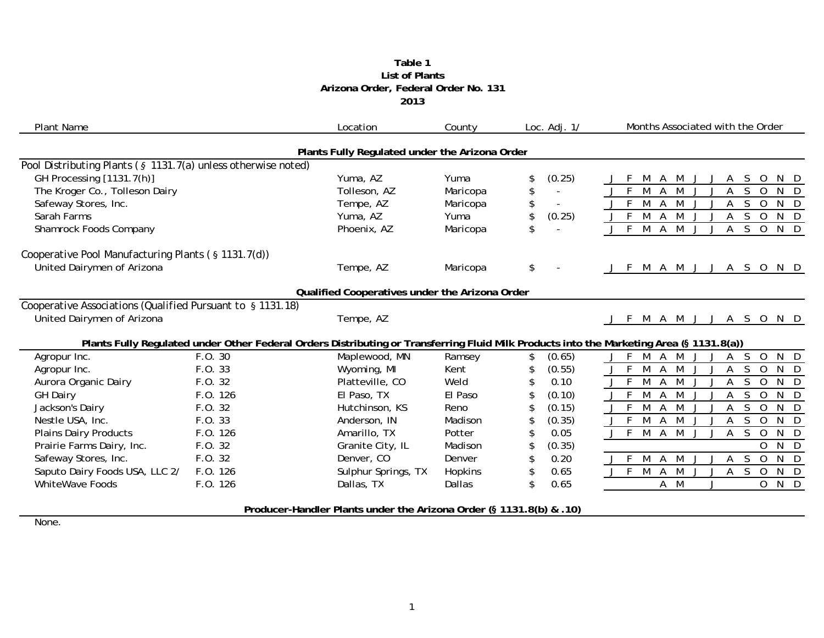#### **Table 1 2013 Arizona Order, Federal Order No. 131 List of Plants**

| <b>Plant Name</b>                                                   |                                                | Location            | County         | Loc. $Adj. 1/$                 | Months Associated with the Order                                                                                                         |  |  |  |
|---------------------------------------------------------------------|------------------------------------------------|---------------------|----------------|--------------------------------|------------------------------------------------------------------------------------------------------------------------------------------|--|--|--|
|                                                                     | Plants Fully Regulated under the Arizona Order |                     |                |                                |                                                                                                                                          |  |  |  |
| Pool Distributing Plants (§ 1131.7(a) unless otherwise noted)       |                                                |                     |                |                                |                                                                                                                                          |  |  |  |
| GH Processing [1131.7(h)]                                           |                                                | Yuma, AZ            | Yuma           | (0.25)<br>\$                   | $\circ$<br>M<br>A<br><sub>S</sub><br>A                                                                                                   |  |  |  |
| The Kroger Co., Tolleson Dairy                                      |                                                | Tolleson, AZ        | Maricopa       | \$<br>$\overline{a}$           | S<br>$\Omega$<br>$\Gamma$                                                                                                                |  |  |  |
| Safeway Stores, Inc.                                                |                                                | Tempe, AZ           | Maricopa       | \$<br>$\overline{\phantom{a}}$ | M<br>M<br>S<br>$\Omega$<br>Α<br>N<br>- D                                                                                                 |  |  |  |
| Sarah Farms                                                         |                                                | Yuma, AZ            | Yuma           | (0.25)<br>\$                   | $\mathsf{F}$<br>M<br><sub>S</sub><br>N D<br>A<br>M<br>A<br>$\overline{O}$                                                                |  |  |  |
| Shamrock Foods Company                                              |                                                | Phoenix, AZ         | Maricopa       | \$                             | $M \overline{A} \overline{M}$<br>S<br>$J$ F<br>$\overline{O}$<br>N D<br>$\mathsf{A}$                                                     |  |  |  |
| Cooperative Pool Manufacturing Plants (§ 1131.7(d))                 |                                                |                     |                |                                |                                                                                                                                          |  |  |  |
| United Dairymen of Arizona                                          |                                                | Tempe, AZ           | Maricopa       | \$                             | J F M A M J J A S O N D                                                                                                                  |  |  |  |
| Qualified Cooperatives under the Arizona Order                      |                                                |                     |                |                                |                                                                                                                                          |  |  |  |
| Cooperative Associations (Qualified Pursuant to § 1131.18)          |                                                |                     |                |                                |                                                                                                                                          |  |  |  |
| United Dairymen of Arizona                                          |                                                | Tempe, AZ           |                |                                | M A M J J A S O N D<br>$-F$                                                                                                              |  |  |  |
|                                                                     |                                                |                     |                |                                | Plants Fully Regulated under Other Federal Orders Distributing or Transferring Fluid Milk Products into the Marketing Area (§ 1131.8(a)) |  |  |  |
| Agropur Inc.                                                        | F.O. 30                                        | Maplewood, MN       | Ramsey         | (0.65)<br>\$                   | -F<br>M<br>M<br>A<br><sub>S</sub><br>$\overline{O}$<br>N<br>Α<br>$\Box$                                                                  |  |  |  |
| Agropur Inc.                                                        | F.O. 33                                        | Wyoming, MI         | Kent           | (0.55)<br>\$                   | S<br>N D<br>M<br>$\mathsf{A}$<br>M<br>$\overline{O}$<br>A                                                                                |  |  |  |
| Aurora Organic Dairy                                                | F.O. 32                                        | Platteville, CO     | Weld           | 0.10                           | M A<br>M<br>$J$ F<br>Α<br>S<br>$\overline{O}$<br>$\mathsf{N}$<br>D.                                                                      |  |  |  |
| <b>GH Dairy</b>                                                     | F.O. 126                                       | El Paso, TX         | El Paso        | (0.10)<br>\$                   | M<br><sub>S</sub><br>$\overline{0}$<br>M<br>N<br>- D<br>A<br>Α                                                                           |  |  |  |
| Jackson's Dairy                                                     | F.0.32                                         | Hutchinson, KS      | Reno           | (0.15)<br>\$                   | M<br>M<br>S<br>N<br>A<br>A<br>$\Omega$<br>$\Box$                                                                                         |  |  |  |
| Nestle USA, Inc.                                                    | F.O. 33                                        | Anderson, IN        | Madison        | (0.35)<br>\$                   | $J$ F<br>M<br>M<br>S<br>$\overline{0}$<br>N<br>$\mathsf{A}$<br>$\Box$<br>Α                                                               |  |  |  |
| <b>Plains Dairy Products</b>                                        | F.O. 126                                       | Amarillo, TX        | Potter         | 0.05<br>\$                     | $\mathsf{F}$<br>$\overline{M}$<br>S<br>M<br>$\overline{0}$<br>N<br>$\mathsf{A}$<br>A<br>D                                                |  |  |  |
| Prairie Farms Dairy, Inc.                                           | F. O. 32                                       | Granite City, IL    | Madison        | (0.35)<br>\$                   | N<br>$\Omega$<br>$\Box$                                                                                                                  |  |  |  |
| Safeway Stores, Inc.                                                | F.O. 32                                        | Denver, CO          | Denver         | 0.20<br>\$                     | S<br>$\overline{0}$<br>$\overline{N}$<br>$\overline{D}$<br>- F<br>M<br>M<br>A<br>A                                                       |  |  |  |
| Saputo Dairy Foods USA, LLC 2/                                      | F.O. 126                                       | Sulphur Springs, TX | <b>Hopkins</b> | \$<br>0.65                     | $\overline{F}$<br>N D<br>M<br>A M<br>A S<br>$\overline{0}$                                                                               |  |  |  |
| <b>WhiteWave Foods</b>                                              | F.O. 126                                       | Dallas, TX          | Dallas         | \$<br>0.65                     | $A$ $M$<br>$\overline{O}$<br>N D                                                                                                         |  |  |  |
| Producer-Handler Plants under the Arizona Order (§ 1131.8(b) & .10) |                                                |                     |                |                                |                                                                                                                                          |  |  |  |

None.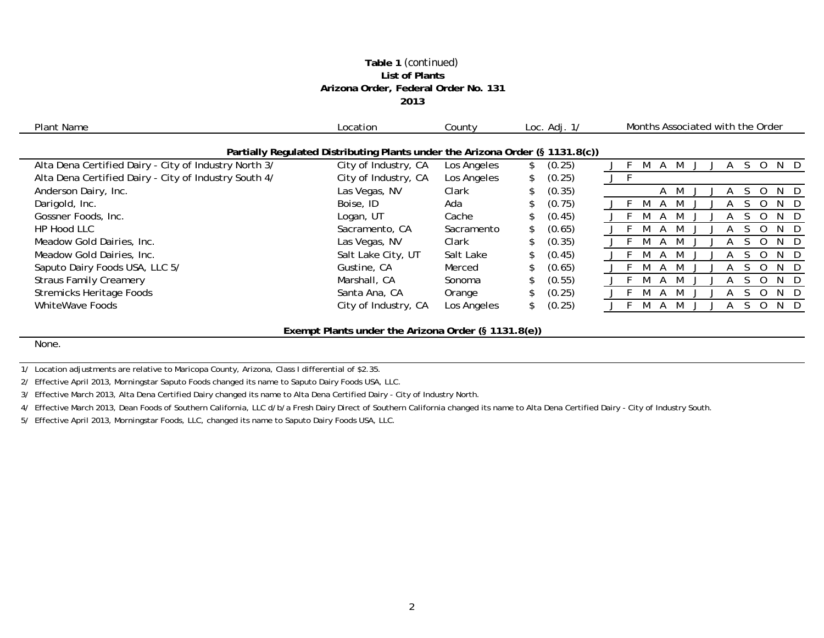#### **Table 1** *(continued)* **List of Plants Arizona Order, Federal Order No. 131 2013**

| Plant Name                                                                    | Location                                            | County      |    | Loc. $Adj. 1/$ |  | Months Associated with the Order |   |   |  |  |     |     |        |
|-------------------------------------------------------------------------------|-----------------------------------------------------|-------------|----|----------------|--|----------------------------------|---|---|--|--|-----|-----|--------|
| Partially Regulated Distributing Plants under the Arizona Order (§ 1131.8(c)) |                                                     |             |    |                |  |                                  |   |   |  |  |     |     |        |
| Alta Dena Certified Dairy - City of Industry North 3/                         | City of Industry, CA                                | Los Angeles |    | (0.25)         |  |                                  |   |   |  |  |     | N.  | $\Box$ |
| Alta Dena Certified Dairy - City of Industry South 4/                         | City of Industry, CA                                | Los Angeles | \$ | (0.25)         |  |                                  |   |   |  |  |     |     |        |
| Anderson Dairy, Inc.                                                          | Las Vegas, NV                                       | Clark       |    | (0.35)         |  |                                  | A | M |  |  |     | N.  | D      |
| Darigold, Inc.                                                                | Boise, ID                                           | Ada         |    | (0.75)         |  |                                  |   |   |  |  |     | N.  |        |
| Gossner Foods, Inc.                                                           | Logan, UT                                           | Cache       |    | (0.45)         |  |                                  |   |   |  |  |     | N.  |        |
| HP Hood LLC                                                                   | Sacramento, CA                                      | Sacramento  |    | (0.65)         |  |                                  |   |   |  |  |     | N.  |        |
| Meadow Gold Dairies, Inc.                                                     | Las Vegas, NV                                       | Clark       |    | (0.35)         |  |                                  |   |   |  |  |     | N.  |        |
| Meadow Gold Dairies, Inc.                                                     | Salt Lake City, UT                                  | Salt Lake   |    | (0.45)         |  |                                  |   |   |  |  |     | N.  |        |
| Saputo Dairy Foods USA, LLC 5/                                                | Gustine, CA                                         | Merced      |    | (0.65)         |  |                                  |   |   |  |  |     | N.  |        |
| <b>Straus Family Creamery</b>                                                 | Marshall, CA                                        | Sonoma      |    | (0.55)         |  |                                  |   |   |  |  | - 0 | N.  | D      |
| <b>Stremicks Heritage Foods</b>                                               | Santa Ana, CA                                       | Orange      |    | (0.25)         |  |                                  |   |   |  |  |     | N.  |        |
| WhiteWave Foods                                                               | City of Industry, CA                                | Los Angeles |    | (0.25)         |  |                                  |   |   |  |  |     | N D |        |
|                                                                               | Exempt Plants under the Arizona Order (§ 1131.8(e)) |             |    |                |  |                                  |   |   |  |  |     |     |        |
|                                                                               |                                                     |             |    |                |  |                                  |   |   |  |  |     |     |        |

None.

1/ Location adjustments are relative to Maricopa County, Arizona, Class I differential of \$2.35.

2/ Effective April 2013, Morningstar Saputo Foods changed its name to Saputo Dairy Foods USA, LLC.

3/ Effective March 2013, Alta Dena Certified Dairy changed its name to Alta Dena Certified Dairy - City of Industry North.

4/ Effective March 2013, Dean Foods of Southern California, LLC d/b/a Fresh Dairy Direct of Southern California changed its name to Alta Dena Certified Dairy - City of Industry South.

5/ Effective April 2013, Morningstar Foods, LLC, changed its name to Saputo Dairy Foods USA, LLC.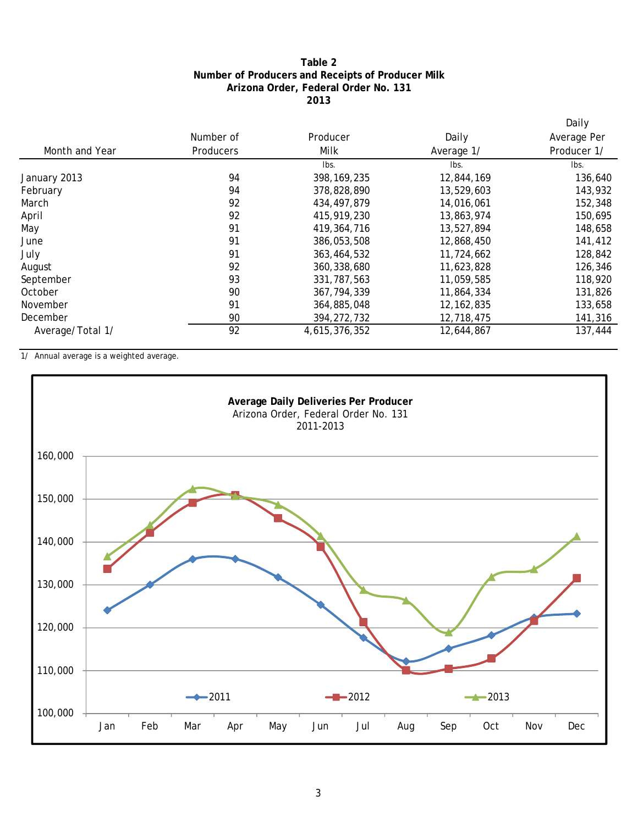#### **2013 Arizona Order, Federal Order No. 131 Number of Producers and Receipts of Producer Milk Table 2**

|                  |                  |               |              | Daily       |
|------------------|------------------|---------------|--------------|-------------|
|                  | Number of        | Producer      | Daily        | Average Per |
| Month and Year   | <b>Producers</b> | Milk          | Average 1/   | Producer 1/ |
|                  |                  | Ibs.          | Ibs.         | lbs.        |
| January 2013     | 94               | 398, 169, 235 | 12,844,169   | 136,640     |
| February         | 94               | 378,828,890   | 13,529,603   | 143,932     |
| March            | 92               | 434, 497, 879 | 14,016,061   | 152,348     |
| April            | 92               | 415,919,230   | 13,863,974   | 150,695     |
| May              | 91               | 419, 364, 716 | 13,527,894   | 148,658     |
| June             | 91               | 386,053,508   | 12,868,450   | 141,412     |
| July             | 91               | 363,464,532   | 11,724,662   | 128,842     |
| August           | 92               | 360, 338, 680 | 11,623,828   | 126,346     |
| September        | 93               | 331, 787, 563 | 11,059,585   | 118,920     |
| October          | 90               | 367, 794, 339 | 11,864,334   | 131,826     |
| November         | 91               | 364,885,048   | 12, 162, 835 | 133,658     |
| December         | 90               | 394, 272, 732 | 12,718,475   | 141,316     |
| Average/Total 1/ | 92               | 4,615,376,352 | 12,644,867   | 137,444     |

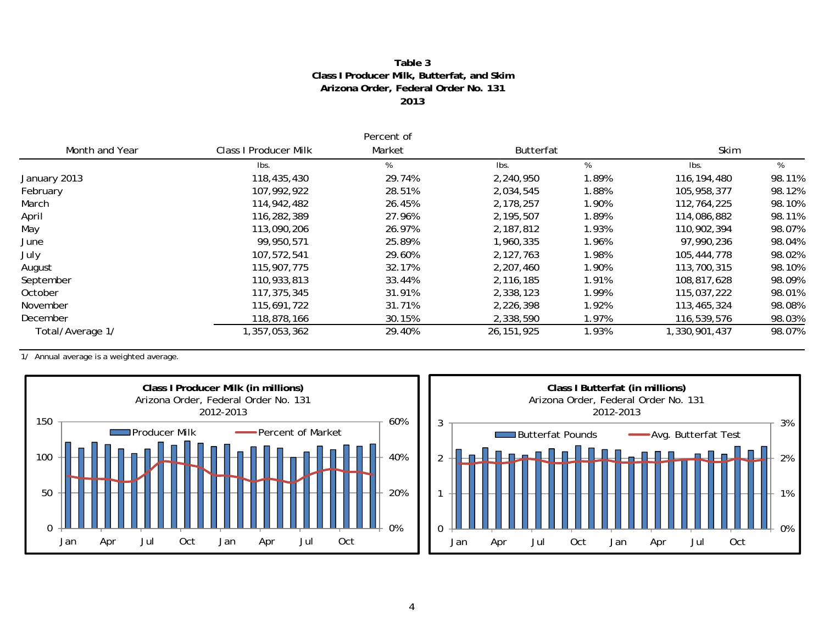#### **2013 Arizona Order, Federal Order No. 131 Class I Producer Milk, Butterfat, and Skim Table 3**

|                  |                              | Percent of |              |       |               |        |  |
|------------------|------------------------------|------------|--------------|-------|---------------|--------|--|
| Month and Year   | <b>Class I Producer Milk</b> | Market     | Butterfat    |       | Skim          |        |  |
|                  | Ibs.                         | %          | lbs.         | %     | Ibs.          | %      |  |
| January 2013     | 118,435,430                  | 29.74%     | 2,240,950    | 1.89% | 116, 194, 480 | 98.11% |  |
| February         | 107,992,922                  | 28.51%     | 2,034,545    | 1.88% | 105,958,377   | 98.12% |  |
| March            | 114,942,482                  | 26.45%     | 2,178,257    | 1.90% | 112,764,225   | 98.10% |  |
| April            | 116,282,389                  | 27.96%     | 2,195,507    | 1.89% | 114,086,882   | 98.11% |  |
| May              | 113,090,206                  | 26.97%     | 2,187,812    | 1.93% | 110,902,394   | 98.07% |  |
| June             | 99,950,571                   | 25.89%     | 1,960,335    | 1.96% | 97,990,236    | 98.04% |  |
| July             | 107,572,541                  | 29.60%     | 2,127,763    | 1.98% | 105,444,778   | 98.02% |  |
| August           | 115,907,775                  | 32.17%     | 2,207,460    | 1.90% | 113,700,315   | 98.10% |  |
| September        | 110,933,813                  | 33.44%     | 2,116,185    | 1.91% | 108,817,628   | 98.09% |  |
| October          | 117,375,345                  | 31.91%     | 2,338,123    | 1.99% | 115,037,222   | 98.01% |  |
| November         | 115,691,722                  | 31.71%     | 2,226,398    | 1.92% | 113,465,324   | 98.08% |  |
| December         | 118,878,166                  | 30.15%     | 2,338,590    | 1.97% | 116,539,576   | 98.03% |  |
| Total/Average 1/ | , 357, 053, 362              | 29.40%     | 26, 151, 925 | 1.93% | 1,330,901,437 | 98.07% |  |



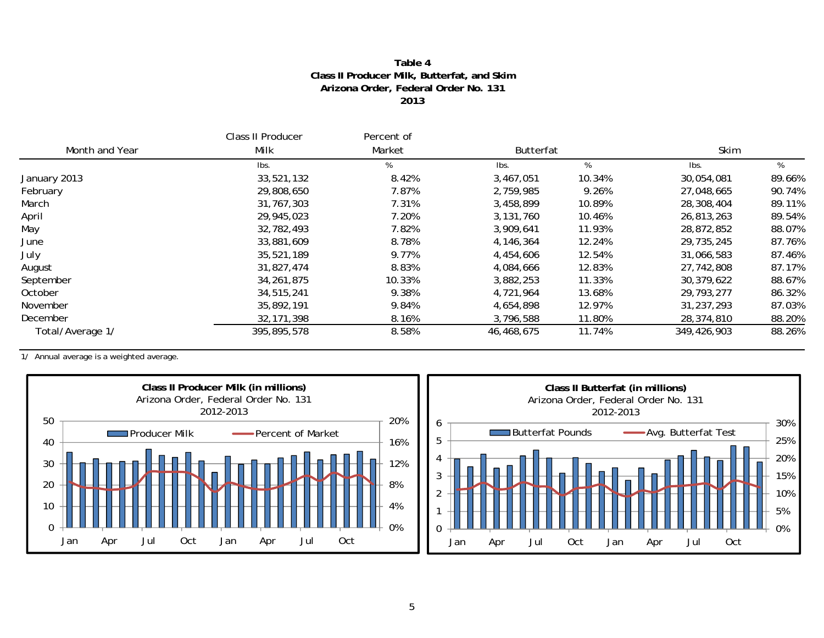#### **Table 4Class II Producer Milk, Butterfat, and Skim Arizona Order, Federal Order No. 131 2013**

|                  | Class II Producer | Percent of |                  |        |             |        |  |
|------------------|-------------------|------------|------------------|--------|-------------|--------|--|
| Month and Year   | Milk              | Market     | <b>Butterfat</b> |        | Skim        |        |  |
|                  | Ibs.              |            | lbs.             | %      | Ibs.        | %      |  |
| January 2013     | 33,521,132        | 8.42%      | 3,467,051        | 10.34% | 30,054,081  | 89.66% |  |
| February         | 29,808,650        | 7.87%      | 2,759,985        | 9.26%  | 27,048,665  | 90.74% |  |
| March            | 31,767,303        | 7.31%      | 3,458,899        | 10.89% | 28,308,404  | 89.11% |  |
| April            | 29,945,023        | 7.20%      | 3,131,760        | 10.46% | 26,813,263  | 89.54% |  |
| May              | 32,782,493        | 7.82%      | 3,909,641        | 11.93% | 28,872,852  | 88.07% |  |
| June             | 33,881,609        | 8.78%      | 4,146,364        | 12.24% | 29,735,245  | 87.76% |  |
| July             | 35,521,189        | 9.77%      | 4,454,606        | 12.54% | 31,066,583  | 87.46% |  |
| August           | 31,827,474        | 8.83%      | 4,084,666        | 12.83% | 27,742,808  | 87.17% |  |
| September        | 34, 261, 875      | 10.33%     | 3,882,253        | 11.33% | 30,379,622  | 88.67% |  |
| October          | 34,515,241        | 9.38%      | 4,721,964        | 13.68% | 29,793,277  | 86.32% |  |
| November         | 35,892,191        | 9.84%      | 4,654,898        | 12.97% | 31,237,293  | 87.03% |  |
| December         | 32, 171, 398      | 8.16%      | 3,796,588        | 11.80% | 28,374,810  | 88.20% |  |
| Total/Average 1/ | 395,895,578       | 8.58%      | 46,468,675       | 11.74% | 349,426,903 | 88.26% |  |



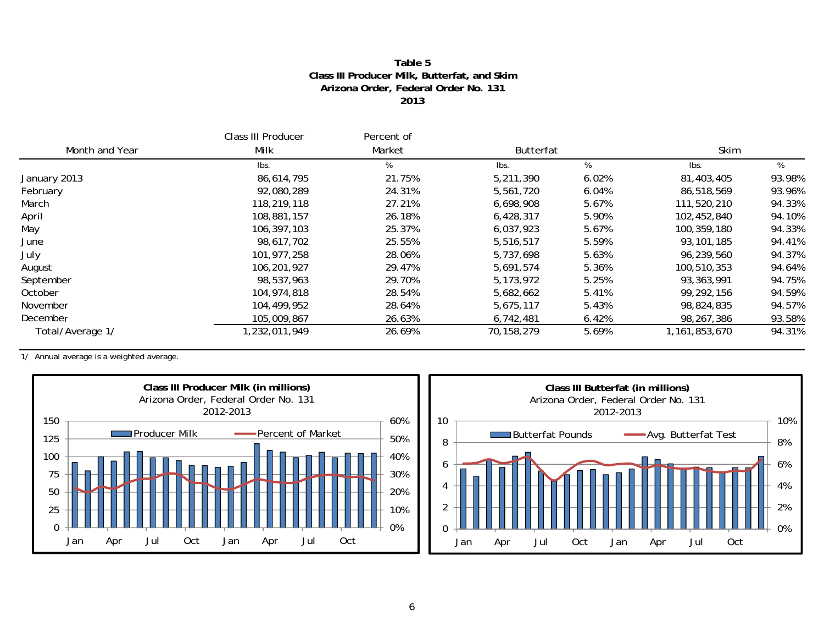#### **Table 5Class III Producer Milk, Butterfat, and Skim Arizona Order, Federal Order No. 131 2013**

|                  | Class III Producer | Percent of |                  |       |                  |        |  |
|------------------|--------------------|------------|------------------|-------|------------------|--------|--|
| Month and Year   | Milk               | Market     | <b>Butterfat</b> |       | Skim             |        |  |
|                  | lbs.               | %          | lbs.             | %     | Ibs.             | %      |  |
| January 2013     | 86,614,795         | 21.75%     | 5,211,390        | 6.02% | 81,403,405       | 93.98% |  |
| February         | 92,080,289         | 24.31%     | 5,561,720        | 6.04% | 86,518,569       | 93.96% |  |
| March            | 118,219,118        | 27.21%     | 6,698,908        | 5.67% | 111,520,210      | 94.33% |  |
| April            | 108,881,157        | 26.18%     | 6,428,317        | 5.90% | 102,452,840      | 94.10% |  |
| May              | 106.397.103        | 25.37%     | 6,037,923        | 5.67% | 100,359,180      | 94.33% |  |
| June             | 98,617,702         | 25.55%     | 5,516,517        | 5.59% | 93,101,185       | 94.41% |  |
| July             | 101,977,258        | 28.06%     | 5,737,698        | 5.63% | 96,239,560       | 94.37% |  |
| August           | 106,201,927        | 29.47%     | 5.691.574        | 5.36% | 100,510,353      | 94.64% |  |
| September        | 98,537,963         | 29.70%     | 5, 173, 972      | 5.25% | 93, 363, 991     | 94.75% |  |
| October          | 104,974,818        | 28.54%     | 5,682,662        | 5.41% | 99,292,156       | 94.59% |  |
| November         | 104,499,952        | 28.64%     | 5,675,117        | 5.43% | 98,824,835       | 94.57% |  |
| December         | 105,009,867        | 26.63%     | 6,742,481        | 6.42% | 98,267,386       | 93.58% |  |
| Total/Average 1/ | 232,011,949,       | 26.69%     | 70, 158, 279     | 5.69% | 1, 161, 853, 670 | 94.31% |  |



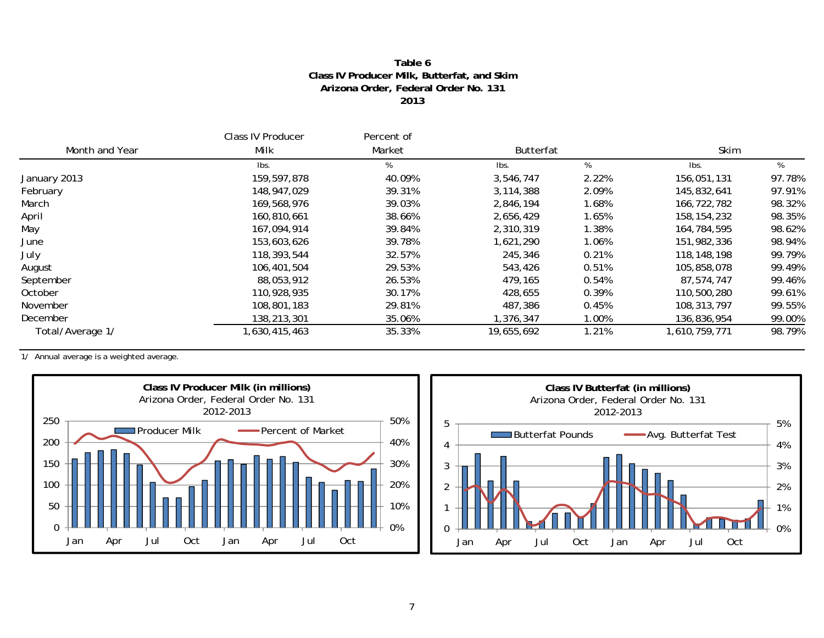#### **Table 6Class IV Producer Milk, Butterfat, and Skim Arizona Order, Federal Order No. 131 2013**

|                  | Class IV Producer | Percent of |                  |       |               |        |  |
|------------------|-------------------|------------|------------------|-------|---------------|--------|--|
| Month and Year   | Milk              | Market     | <b>Butterfat</b> |       | Skim          |        |  |
|                  | lbs.              | %          | lbs.             | %     | lbs.          | %      |  |
| January 2013     | 159,597,878       | 40.09%     | 3,546,747        | 2.22% | 156,051,131   | 97.78% |  |
| February         | 148,947,029       | 39.31%     | 3,114,388        | 2.09% | 145,832,641   | 97.91% |  |
| March            | 169,568,976       | 39.03%     | 2,846,194        | 1.68% | 166,722,782   | 98.32% |  |
| April            | 160,810,661       | 38.66%     | 2,656,429        | 1.65% | 158, 154, 232 | 98.35% |  |
| May              | 167,094,914       | 39.84%     | 2,310,319        | 1.38% | 164,784,595   | 98.62% |  |
| June             | 153,603,626       | 39.78%     | 1,621,290        | 1.06% | 151,982,336   | 98.94% |  |
| July             | 118,393,544       | 32.57%     | 245,346          | 0.21% | 118,148,198   | 99.79% |  |
| August           | 106,401,504       | 29.53%     | 543,426          | 0.51% | 105,858,078   | 99.49% |  |
| September        | 88,053,912        | 26.53%     | 479,165          | 0.54% | 87,574,747    | 99.46% |  |
| October          | 110,928,935       | 30.17%     | 428,655          | 0.39% | 110,500,280   | 99.61% |  |
| November         | 108,801,183       | 29.81%     | 487,386          | 0.45% | 108, 313, 797 | 99.55% |  |
| December         | 138,213,301       | 35.06%     | ,376,347         | 1.00% | 136,836,954   | 99.00% |  |
| Total/Average 1/ | .630,415,463 ا    | 35.33%     | 19,655,692       | 1.21% | 1,610,759,771 | 98.79% |  |



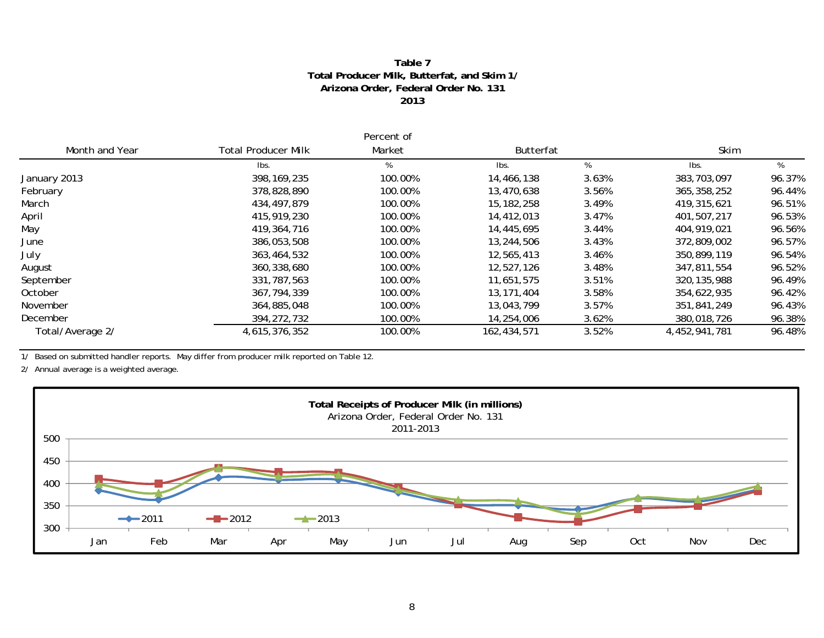#### **Table 7Total Producer Milk, Butterfat, and Skim 1/ Arizona Order, Federal Order No. 131 2013**

|                  |                            | Percent of |              |       |               |        |  |
|------------------|----------------------------|------------|--------------|-------|---------------|--------|--|
| Month and Year   | <b>Total Producer Milk</b> | Market     | Butterfat    |       | Skim          |        |  |
|                  | Ibs.                       | %          | lbs.         | %     | Ibs.          | %      |  |
| January 2013     | 398, 169, 235              | 100.00%    | 14,466,138   | 3.63% | 383,703,097   | 96.37% |  |
| February         | 378,828,890                | 100.00%    | 13,470,638   | 3.56% | 365, 358, 252 | 96.44% |  |
| March            | 434,497,879                | 100.00%    | 15, 182, 258 | 3.49% | 419,315,621   | 96.51% |  |
| April            | 415,919,230                | 100.00%    | 14,412,013   | 3.47% | 401,507,217   | 96.53% |  |
| May              | 419,364,716                | 100.00%    | 14,445,695   | 3.44% | 404,919,021   | 96.56% |  |
| June             | 386,053,508                | 100.00%    | 13,244,506   | 3.43% | 372,809,002   | 96.57% |  |
| July             | 363,464,532                | 100.00%    | 12,565,413   | 3.46% | 350,899,119   | 96.54% |  |
| August           | 360,338,680                | 100.00%    | 12,527,126   | 3.48% | 347.811.554   | 96.52% |  |
| September        | 331,787,563                | 100.00%    | 11,651,575   | 3.51% | 320, 135, 988 | 96.49% |  |
| October          | 367, 794, 339              | 100.00%    | 13, 171, 404 | 3.58% | 354,622,935   | 96.42% |  |
| November         | 364,885,048                | 100.00%    | 13,043,799   | 3.57% | 351,841,249   | 96.43% |  |
| December         | 394, 272, 732              | 100.00%    | 14,254,006   | 3.62% | 380,018,726   | 96.38% |  |
| Total/Average 2/ | 4,615,376,352              | 100.00%    | 162,434,571  | 3.52% | 4,452,941,781 | 96.48% |  |

1/ Based on submitted handler reports. May differ from producer milk reported on Table 12.

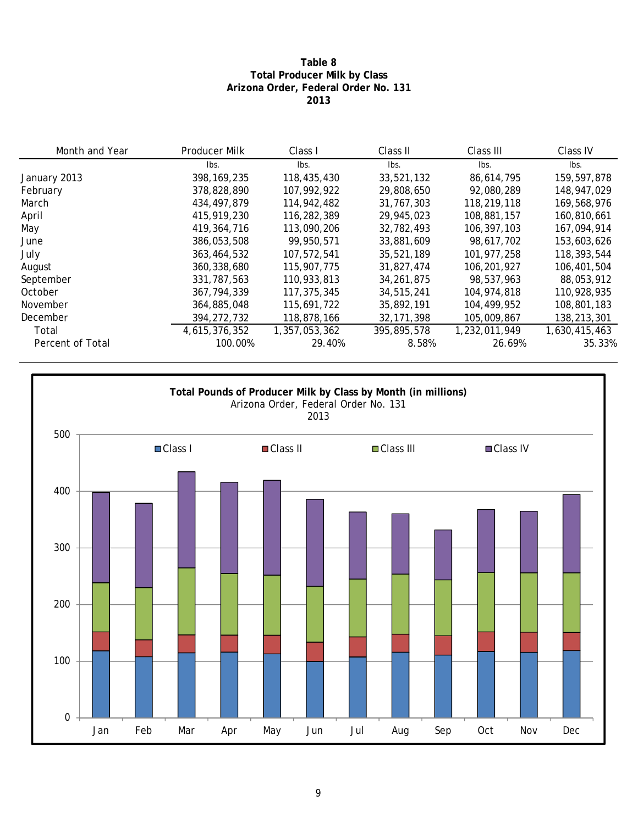#### **Table 8 Total Producer Milk by Class Arizona Order, Federal Order No. 131 2013**

| Month and Year   | Producer Milk | Class I       | Class II     | Class III     | Class IV      |
|------------------|---------------|---------------|--------------|---------------|---------------|
|                  | lbs.          | lbs.          | Ibs.         | lbs.          | lbs.          |
| January 2013     | 398, 169, 235 | 118,435,430   | 33,521,132   | 86,614,795    | 159,597,878   |
| February         | 378,828,890   | 107.992.922   | 29,808,650   | 92,080,289    | 148,947,029   |
| March            | 434,497,879   | 114,942,482   | 31,767,303   | 118,219,118   | 169,568,976   |
| April            | 415,919,230   | 116,282,389   | 29,945,023   | 108,881,157   | 160,810,661   |
| May              | 419, 364, 716 | 113,090,206   | 32,782,493   | 106,397,103   | 167,094,914   |
| June             | 386,053,508   | 99.950.571    | 33,881,609   | 98,617,702    | 153,603,626   |
| July             | 363,464,532   | 107.572.541   | 35,521,189   | 101.977.258   | 118,393,544   |
| August           | 360, 338, 680 | 115,907,775   | 31,827,474   | 106,201,927   | 106,401,504   |
| September        | 331,787,563   | 110,933,813   | 34,261,875   | 98,537,963    | 88,053,912    |
| October          | 367, 794, 339 | 117,375,345   | 34,515,241   | 104,974,818   | 110,928,935   |
| November         | 364,885,048   | 115,691,722   | 35,892,191   | 104,499,952   | 108,801,183   |
| December         | 394, 272, 732 | 118,878,166   | 32, 171, 398 | 105,009,867   | 138,213,301   |
| Total            | 4,615,376,352 | 1,357,053,362 | 395,895,578  | 1,232,011,949 | 1,630,415,463 |
| Percent of Total | 100.00%       | 29.40%        | 8.58%        | 26.69%        | 35.33%        |

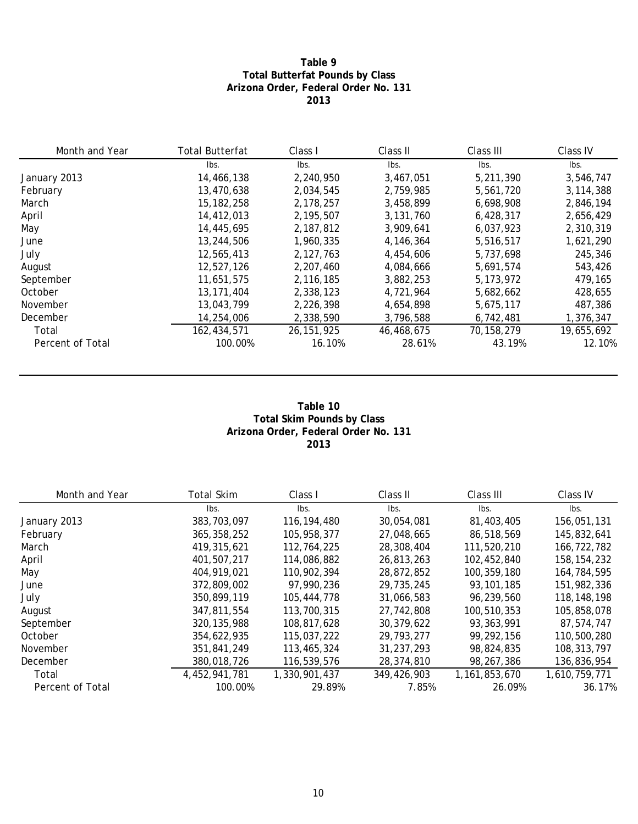#### **Table 9 Total Butterfat Pounds by Class Arizona Order, Federal Order No. 131 2013**

| Month and Year   | <b>Total Butterfat</b> | Class I      | Class II   | Class III   | Class IV    |
|------------------|------------------------|--------------|------------|-------------|-------------|
|                  | lbs.                   | Ibs.         | Ibs.       | lbs.        | Ibs.        |
| January 2013     | 14,466,138             | 2,240,950    | 3,467,051  | 5,211,390   | 3,546,747   |
| February         | 13,470,638             | 2,034,545    | 2,759,985  | 5,561,720   | 3, 114, 388 |
| March            | 15, 182, 258           | 2,178,257    | 3,458,899  | 6,698,908   | 2,846,194   |
| April            | 14,412,013             | 2,195,507    | 3,131,760  | 6,428,317   | 2,656,429   |
| May              | 14,445,695             | 2,187,812    | 3,909,641  | 6,037,923   | 2,310,319   |
| June             | 13,244,506             | 1.960.335    | 4,146,364  | 5,516,517   | 1,621,290   |
| July             | 12,565,413             | 2,127,763    | 4,454,606  | 5,737,698   | 245,346     |
| August           | 12,527,126             | 2,207,460    | 4,084,666  | 5,691,574   | 543,426     |
| September        | 11,651,575             | 2,116,185    | 3,882,253  | 5, 173, 972 | 479.165     |
| October          | 13, 171, 404           | 2,338,123    | 4,721,964  | 5,682,662   | 428,655     |
| November         | 13,043,799             | 2,226,398    | 4,654,898  | 5,675,117   | 487,386     |
| December         | 14,254,006             | 2,338,590    | 3,796,588  | 6,742,481   | 1,376,347   |
| Total            | 162,434,571            | 26, 151, 925 | 46,468,675 | 70,158,279  | 19,655,692  |
| Percent of Total | 100.00%                | 16.10%       | 28.61%     | 43.19%      | 12.10%      |

#### **Table 10 Total Skim Pounds by Class Arizona Order, Federal Order No. 131 2013**

| Month and Year   | Total Skim    | Class I       | Class II    | Class III        | Class IV      |
|------------------|---------------|---------------|-------------|------------------|---------------|
|                  | lbs.          | lbs.          | Ibs.        | lbs.             | lbs.          |
| January 2013     | 383,703,097   | 116, 194, 480 | 30,054,081  | 81,403,405       | 156,051,131   |
| February         | 365, 358, 252 | 105.958.377   | 27,048,665  | 86,518,569       | 145,832,641   |
| March            | 419, 315, 621 | 112,764,225   | 28,308,404  | 111,520,210      | 166,722,782   |
| April            | 401.507.217   | 114,086,882   | 26,813,263  | 102,452,840      | 158, 154, 232 |
| May              | 404.919.021   | 110,902,394   | 28.872.852  | 100,359,180      | 164,784,595   |
| June             | 372,809,002   | 97.990.236    | 29,735,245  | 93,101,185       | 151,982,336   |
| July             | 350,899,119   | 105,444,778   | 31,066,583  | 96,239,560       | 118,148,198   |
| August           | 347,811,554   | 113,700,315   | 27,742,808  | 100,510,353      | 105,858,078   |
| September        | 320, 135, 988 | 108,817,628   | 30,379,622  | 93,363,991       | 87,574,747    |
| October          | 354,622,935   | 115,037,222   | 29,793,277  | 99,292,156       | 110,500,280   |
| November         | 351,841,249   | 113,465,324   | 31,237,293  | 98,824,835       | 108, 313, 797 |
| December         | 380,018,726   | 116,539,576   | 28,374,810  | 98,267,386       | 136,836,954   |
| Total            | 4,452,941,781 | 1,330,901,437 | 349,426,903 | 1, 161, 853, 670 | 1,610,759,771 |
| Percent of Total | 100.00%       | 29.89%        | 7.85%       | 26.09%           | 36.17%        |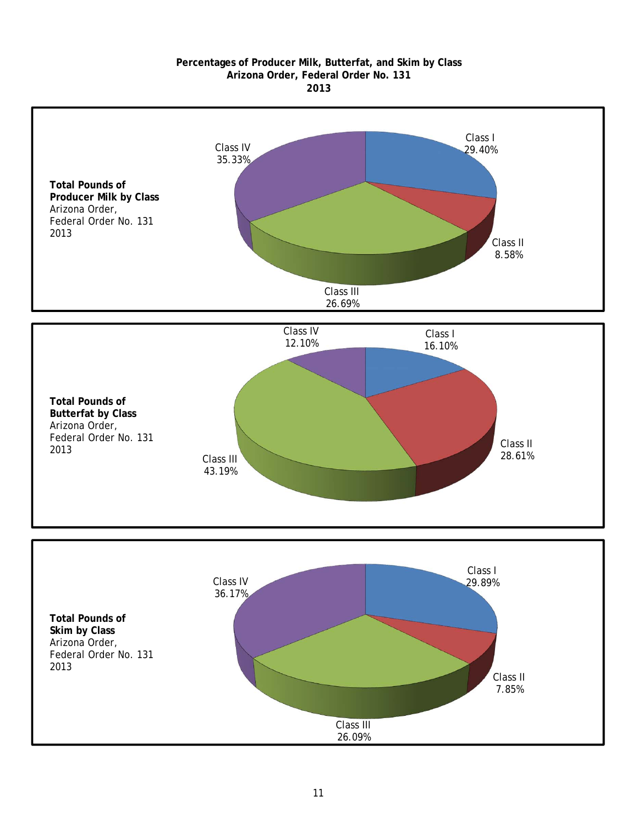#### **2013 Arizona Order, Federal Order No. 131 Percentages of Producer Milk, Butterfat, and Skim by Class**

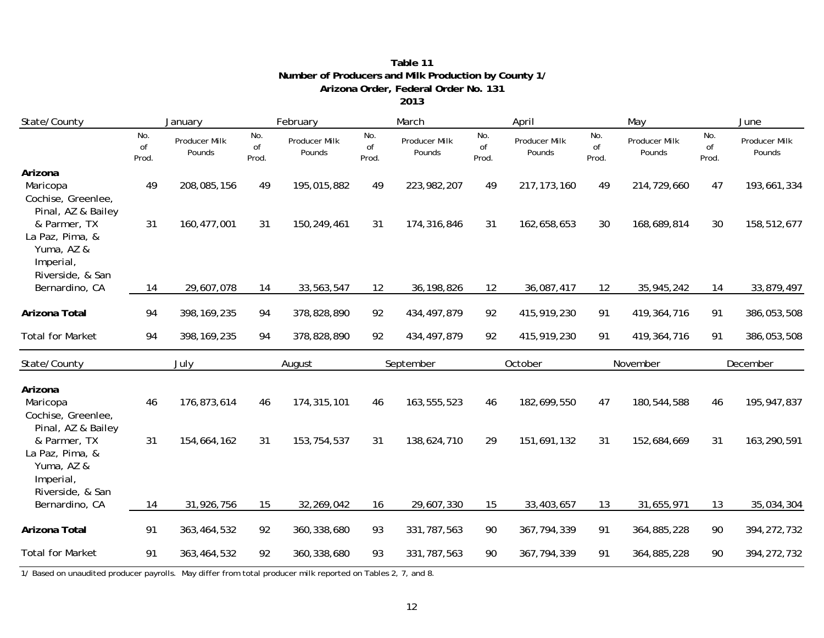|                                                                                  |                    |                         |                    |                         |                    | 2013                    |                    |                         |                    |                         |                    |                         |
|----------------------------------------------------------------------------------|--------------------|-------------------------|--------------------|-------------------------|--------------------|-------------------------|--------------------|-------------------------|--------------------|-------------------------|--------------------|-------------------------|
| State/County                                                                     |                    | January                 | February           |                         |                    | March                   |                    | April                   |                    | May                     |                    | June                    |
|                                                                                  | No.<br>of<br>Prod. | Producer Milk<br>Pounds | No.<br>of<br>Prod. | Producer Milk<br>Pounds | No.<br>of<br>Prod. | Producer Milk<br>Pounds | No.<br>of<br>Prod. | Producer Milk<br>Pounds | No.<br>of<br>Prod. | Producer Milk<br>Pounds | No.<br>of<br>Prod. | Producer Milk<br>Pounds |
| Arizona<br>Maricopa<br>Cochise, Greenlee,                                        | 49                 | 208,085,156             | 49                 | 195,015,882             | 49                 | 223,982,207             | 49                 | 217, 173, 160           | 49                 | 214,729,660             | 47                 | 193,661,334             |
| Pinal, AZ & Bailey<br>& Parmer, TX<br>La Paz, Pima, &<br>Yuma, AZ &<br>Imperial, | 31                 | 160, 477, 001           | 31                 | 150,249,461             | 31                 | 174,316,846             | 31                 | 162,658,653             | 30                 | 168,689,814             | 30                 | 158,512,677             |
| Riverside, & San<br>Bernardino, CA                                               | 14                 | 29,607,078              | 14                 | 33,563,547              | 12                 | 36, 198, 826            | 12                 | 36,087,417              | 12                 | 35,945,242              | 14                 | 33,879,497              |
| Arizona Total                                                                    | 94                 | 398, 169, 235           | 94                 | 378,828,890             | 92                 | 434, 497, 879           | 92                 | 415,919,230             | 91                 | 419,364,716             | 91                 | 386,053,508             |
| <b>Total for Market</b>                                                          | 94                 | 398, 169, 235           | 94                 | 378,828,890             | 92                 | 434, 497, 879           | 92                 | 415,919,230             | 91                 | 419, 364, 716           | 91                 | 386,053,508             |
| State/County                                                                     | July               |                         | August             |                         | September          |                         | October            |                         | November           |                         | December           |                         |
| Arizona<br>Maricopa<br>Cochise, Greenlee,<br>Pinal, AZ & Bailey                  | 46                 | 176,873,614             | 46                 | 174,315,101             | 46                 | 163,555,523             | 46                 | 182,699,550             | 47                 | 180,544,588             | 46                 | 195,947,837             |
| & Parmer, TX<br>La Paz, Pima, &<br>Yuma, AZ &<br>Imperial,<br>Riverside, & San   | 31                 | 154,664,162             | 31                 | 153,754,537             | 31                 | 138,624,710             | 29                 | 151,691,132             | 31                 | 152,684,669             | 31                 | 163,290,591             |
| Bernardino, CA                                                                   | 14                 | 31,926,756              | 15                 | 32,269,042              | 16                 | 29,607,330              | 15                 | 33,403,657              | 13                 | 31,655,971              | 13                 | 35,034,304              |
| Arizona Total                                                                    | 91                 | 363,464,532             | 92                 | 360,338,680             | 93                 | 331,787,563             | 90                 | 367, 794, 339           | 91                 | 364,885,228             | 90                 | 394, 272, 732           |
| <b>Total for Market</b>                                                          | 91                 | 363,464,532             | 92                 | 360,338,680             | 93                 | 331,787,563             | 90                 | 367, 794, 339           | 91                 | 364,885,228             | 90                 | 394, 272, 732           |

## **Arizona Order, Federal Order No. 131 Number of Producers and Milk Production by County 1/ Table 11**

1/ Based on unaudited producer payrolls. May differ from total producer milk reported on Tables 2, 7, and 8.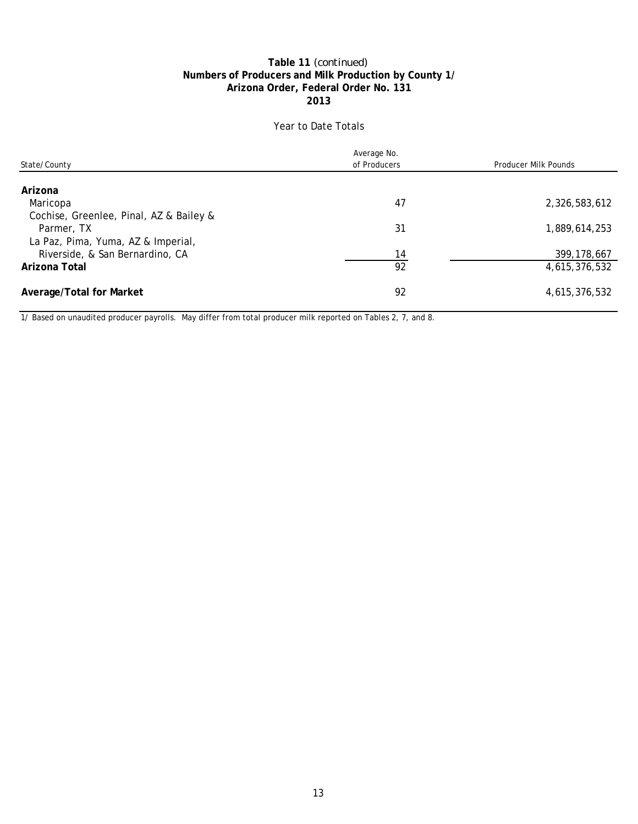#### **Numbers of Producers and Milk Production by County 1/ Table 11** *(continued)* **2013 Arizona Order, Federal Order No. 131**

### Year to Date Totals

|                                         | Average No.  |                      |
|-----------------------------------------|--------------|----------------------|
| State/County                            | of Producers | Producer Milk Pounds |
|                                         |              |                      |
| Arizona                                 |              |                      |
| Maricopa                                | 47           | 2,326,583,612        |
| Cochise, Greenlee, Pinal, AZ & Bailey & |              |                      |
| Parmer, TX                              | 31           | 1,889,614,253        |
| La Paz, Pima, Yuma, AZ & Imperial,      |              |                      |
| Riverside, & San Bernardino, CA         | 14           | 399, 178, 667        |
| Arizona Total                           | 92           | 4,615,376,532        |
| Average/Total for Market                | 92           | 4,615,376,532        |

1/ Based on unaudited producer payrolls. May differ from total producer milk reported on Tables 2, 7, and 8.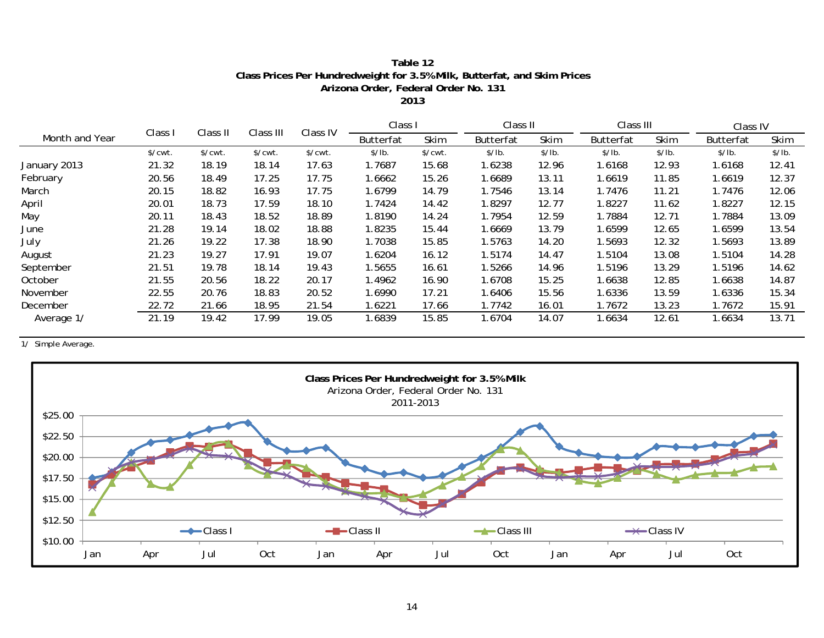### **Class Prices Per Hundredweight for 3.5% Milk, Butterfat, and Skim Prices Table 12 Arizona Order, Federal Order No. 131**

**2013**

|                |                       |          | Class III             | Class IV |                  | Class I               |                  | Class II |                  | Class III |                  | Class IV |  |
|----------------|-----------------------|----------|-----------------------|----------|------------------|-----------------------|------------------|----------|------------------|-----------|------------------|----------|--|
| Month and Year | Class I               | Class II |                       |          | <b>Butterfat</b> | Skim                  | <b>Butterfat</b> | Skim     | <b>Butterfat</b> | Skim      | <b>Butterfat</b> | Skim     |  |
|                | $\sqrt{\text{cwt}}$ . | \$/cut.  | $\sqrt{\text{cwt}}$ . | \$/cwt.  | \$/lb.           | $\sqrt{\text{cwt}}$ . | \$/lb.           | \$/lb.   | \$/lb.           | \$/lb.    | \$/lb.           | \$/lb.   |  |
| January 2013   | 21.32                 | 18.19    | 18.14                 | 17.63    | 1.7687           | 15.68                 | .6238            | 12.96    | 1.6168           | 12.93     | 1.6168           | 12.41    |  |
| February       | 20.56                 | 18.49    | 17.25                 | 17.75    | 1.6662           | 15.26                 | .6689            | 13.11    | 1.6619           | 11.85     | 1.6619           | 12.37    |  |
| March          | 20.15                 | 18.82    | 16.93                 | 17.75    | 1.6799           | 14.79                 | 1.7546           | 13.14    | 1.7476           | 11.21     | 1.7476           | 12.06    |  |
| April          | 20.01                 | 18.73    | 17.59                 | 18.10    | 1.7424           | 14.42                 | .8297            | 12.77    | 1.8227           | 11.62     | 1.8227           | 12.15    |  |
| May            | 20.11                 | 18.43    | 18.52                 | 18.89    | 1.8190           | 14.24                 | 1.7954           | 12.59    | 1.7884           | 12.71     | 1.7884           | 13.09    |  |
| June           | 21.28                 | 19.14    | 18.02                 | 18.88    | 1.8235           | 15.44                 | .6669            | 13.79    | 1.6599           | 12.65     | 1.6599           | 13.54    |  |
| July           | 21.26                 | 19.22    | 17.38                 | 18.90    | 1.7038           | 15.85                 | 1.5763           | 14.20    | .5693            | 12.32     | 1.5693           | 13.89    |  |
| August         | 21.23                 | 19.27    | 17.91                 | 19.07    | 1.6204           | 16.12                 | 1.5174           | 14.47    | 1.5104           | 13.08     | 1.5104           | 14.28    |  |
| September      | 21.51                 | 19.78    | 18.14                 | 19.43    | .5655            | 16.61                 | 1.5266           | 14.96    | 1.5196           | 13.29     | 1.5196           | 14.62    |  |
| October        | 21.55                 | 20.56    | 18.22                 | 20.17    | l.4962           | 16.90                 | 1.6708           | 15.25    | 1.6638           | 12.85     | 1.6638           | 14.87    |  |
| November       | 22.55                 | 20.76    | 18.83                 | 20.52    | 1.6990           | 17.21                 | .6406            | 15.56    | 1.6336           | 13.59     | 1.6336           | 15.34    |  |
| December       | 22.72                 | 21.66    | 18.95                 | 21.54    | .6221            | 17.66                 | 1.7742           | 16.01    | 1.7672           | 13.23     | 1.7672           | 15.91    |  |
| Average 1/     | 21.19                 | 19.42    | 17.99                 | 19.05    | .6839            | 15.85                 | .6704            | 14.07    | 1.6634           | 12.61     | 1.6634           | 13.71    |  |

1/ Simple Average.

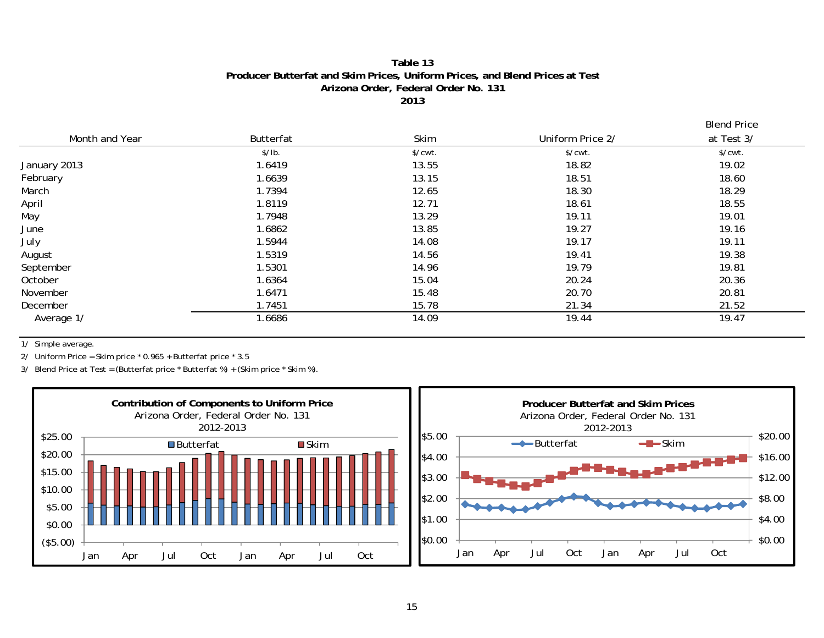#### **Table 13Producer Butterfat and Skim Prices, Uniform Prices, and Blend Prices at Test Arizona Order, Federal Order No. 131 2013**

Blend Price

|                |           |                       |                  | ---------             |
|----------------|-----------|-----------------------|------------------|-----------------------|
| Month and Year | Butterfat | Skim                  | Uniform Price 2/ | at Test 3/            |
|                | \$/lb.    | $\sqrt{\text{cwt}}$ . | \$/cwt.          | $\sqrt{\text{cwt}}$ . |
| January 2013   | 1.6419    | 13.55                 | 18.82            | 19.02                 |
| February       | 1.6639    | 13.15                 | 18.51            | 18.60                 |
| March          | 1.7394    | 12.65                 | 18.30            | 18.29                 |
| April          | 1.8119    | 12.71                 | 18.61            | 18.55                 |
| May            | 1.7948    | 13.29                 | 19.11            | 19.01                 |
| June           | 1.6862    | 13.85                 | 19.27            | 19.16                 |
| July           | 1.5944    | 14.08                 | 19.17            | 19.11                 |
| August         | 1.5319    | 14.56                 | 19.41            | 19.38                 |
| September      | 1.5301    | 14.96                 | 19.79            | 19.81                 |
| October        | 1.6364    | 15.04                 | 20.24            | 20.36                 |
| November       | 1.6471    | 15.48                 | 20.70            | 20.81                 |
| December       | 1.7451    | 15.78                 | 21.34            | 21.52                 |
| Average 1/     | 1.6686    | 14.09                 | 19.44            | 19.47                 |

1/ Simple average.

2/ Uniform Price = Skim price \* 0.965 + Butterfat price \* 3.5

3/ Blend Price at Test = (Butterfat price \* Butterfat %) + (Skim price \* Skim %).

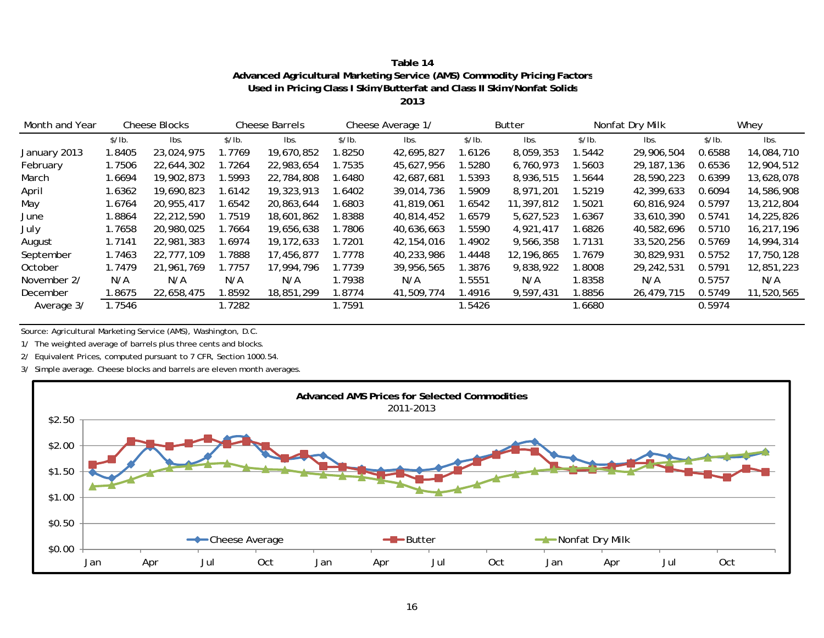| Table 14                                                                |
|-------------------------------------------------------------------------|
| Advanced Agricultural Marketing Service (AMS) Commodity Pricing Factors |
| Used in Pricing Class I Skim/Butterfat and Class II Skim/Nonfat Solids  |

**2013**

| Month and Year | <b>Cheese Barrels</b><br><b>Cheese Blocks</b> |            |        | Cheese Average 1/ |        | <b>Butter</b> |        | Nonfat Dry Milk |        | Whey         |        |            |
|----------------|-----------------------------------------------|------------|--------|-------------------|--------|---------------|--------|-----------------|--------|--------------|--------|------------|
|                | \$/lb.                                        | lbs.       | \$/lb. | Ibs.              | \$/lb. | lbs.          | \$/lb. | Ibs.            | \$/lb. | Ibs.         | \$/lb. | lbs.       |
| January 2013   | 1.8405                                        | 23,024,975 | 1.7769 | 19,670,852        | 1.8250 | 42,695,827    | .6126  | 8,059,353       | 1.5442 | 29,906,504   | 0.6588 | 14,084,710 |
| February       | 1.7506                                        | 22,644,302 | 1.7264 | 22,983,654        | .7535  | 45,627,956    | .5280  | 6,760,973       | 1.5603 | 29, 187, 136 | 0.6536 | 12,904,512 |
| March          | 1.6694                                        | 19,902,873 | 1.5993 | 22,784,808        | 1.6480 | 42.687.681    | .5393  | 8.936.515       | 1.5644 | 28,590,223   | 0.6399 | 13,628,078 |
| April          | 1.6362                                        | 19,690,823 | .6142  | 19,323,913        | 1.6402 | 39,014,736    | .5909  | 8,971,201       | 1.5219 | 42,399,633   | 0.6094 | 14,586,908 |
| May            | 1.6764                                        | 20.955.417 | .6542  | 20,863,644        | .6803  | 41,819,061    | .6542  | 11,397,812      | 1.5021 | 60.816.924   | 0.5797 | 13,212,804 |
| June           | 1.8864                                        | 22,212,590 | 1.7519 | 18,601,862        | .8388  | 40,814,452    | .6579  | 5,627,523       | 1.6367 | 33,610,390   | 0.5741 | 14,225,826 |
| July           | 1.7658                                        | 20,980,025 | 1.7664 | 19,656,638        | .7806  | 40,636,663    | .5590  | 4,921,417       | 1.6826 | 40,582,696   | 0.5710 | 16,217,196 |
| August         | 1.7141                                        | 22,981,383 | .6974  | 19, 172, 633      | 1.7201 | 42,154,016    | .4902  | 9,566,358       | 1.7131 | 33,520,256   | 0.5769 | 14,994,314 |
| September      | 1.7463                                        | 22,777,109 | 1.7888 | 17,456,877        | 1.7778 | 40,233,986    | .4448  | 12,196,865      | 1.7679 | 30,829,931   | 0.5752 | 17,750,128 |
| October        | 1.7479                                        | 21,961,769 | 1.7757 | 17,994,796        | 1.7739 | 39,956,565    | .3876  | 9,838,922       | 1.8008 | 29,242,531   | 0.5791 | 12,851,223 |
| November 2/    | N/A                                           | N/A        | N/A    | N/A               | 1.7938 | N/A           | 1.5551 | N/A             | 1.8358 | N/A          | 0.5757 | N/A        |
| December       | 1.8675                                        | 22,658,475 | .8592  | 18,851,299        | 1.8774 | 41,509,774    | .4916  | 9,597,431       | 1.8856 | 26,479,715   | 0.5749 | 11,520,565 |
| Average 3/     | 1.7546                                        |            | 1.7282 |                   | 1.7591 |               | 1.5426 |                 | 1.6680 |              | 0.5974 |            |

Source: Agricultural Marketing Service (AMS), Washington, D.C.

1/ The weighted average of barrels plus three cents and blocks.

2/ Equivalent Prices, computed pursuant to 7 CFR, Section 1000.54.

3/ Simple average. Cheese blocks and barrels are eleven month averages.

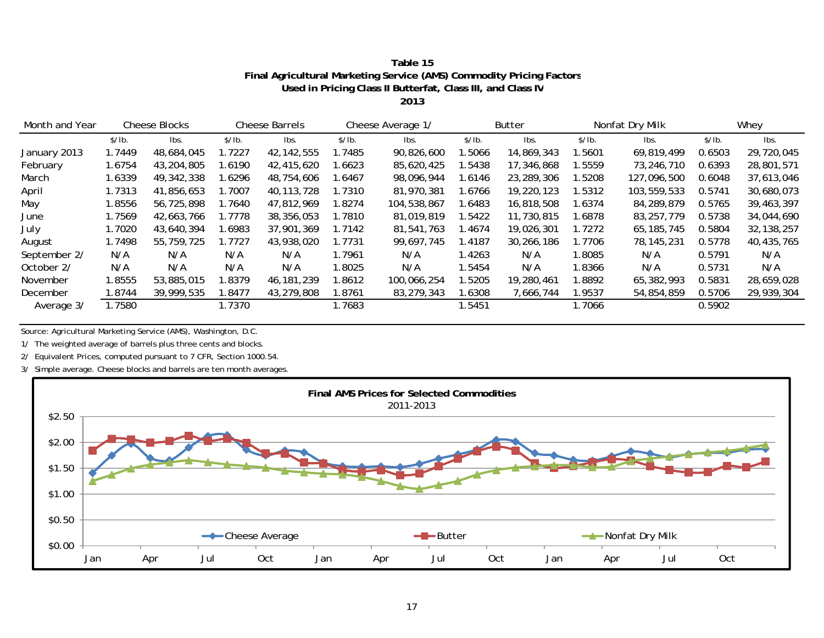| Table 15                                                             |
|----------------------------------------------------------------------|
| Final Agricultural Marketing Service (AMS) Commodity Pricing Factors |
| Used in Pricing Class II Butterfat, Class III, and Class IV          |

**2013**

| Month and Year | <b>Cheese Barrels</b><br><b>Cheese Blocks</b> |            | Cheese Average 1/ |              | Butter |             | Nonfat Dry Milk |            | Whey   |              |        |              |
|----------------|-----------------------------------------------|------------|-------------------|--------------|--------|-------------|-----------------|------------|--------|--------------|--------|--------------|
|                | \$/lb.                                        | lbs.       | \$/lb.            | lbs.         | \$/lb. | lbs.        | \$/lb.          | lbs.       | \$/lb. | lbs.         | \$/lb. | lbs.         |
| January 2013   | 1.7449                                        | 48,684,045 | 1.7227            | 42, 142, 555 | 1.7485 | 90,826,600  | .5066           | 14,869,343 | 1.5601 | 69,819,499   | 0.6503 | 29,720,045   |
| February       | 1.6754                                        | 43,204,805 | .6190             | 42,415,620   | 1.6623 | 85,620,425  | .5438           | 17,346,868 | 1.5559 | 73,246,710   | 0.6393 | 28,801,571   |
| March          | 1.6339                                        | 49,342,338 | .6296             | 48,754,606   | 1.6467 | 98,096,944  | .6146           | 23,289,306 | 1.5208 | 127,096,500  | 0.6048 | 37,613,046   |
| April          | 1.7313                                        | 41,856,653 | .7007             | 40, 113, 728 | 1.7310 | 81,970,381  | .6766           | 19,220,123 | 1.5312 | 103,559,533  | 0.5741 | 30,680,073   |
| May            | 1.8556                                        | 56,725,898 | 1.7640            | 47,812,969   | 1.8274 | 104,538,867 | 1.6483          | 16,818,508 | 1.6374 | 84,289,879   | 0.5765 | 39,463,397   |
| June           | 1.7569                                        | 42,663,766 | 1.7778            | 38,356,053   | 1.7810 | 81,019,819  | 1.5422          | 11,730,815 | 1.6878 | 83,257,779   | 0.5738 | 34,044,690   |
| July           | 1.7020                                        | 43,640,394 | .6983             | 37,901,369   | 1.7142 | 81.541.763  | 1.4674          | 19,026,301 | 1.7272 | 65, 185, 745 | 0.5804 | 32, 138, 257 |
| August         | 1.7498                                        | 55,759,725 | 1.7727            | 43,938,020   | 1.7731 | 99,697,745  | 1.4187          | 30,266,186 | 1.7706 | 78, 145, 231 | 0.5778 | 40,435,765   |
| September 2/   | N/A                                           | N/A        | N/A               | N/A          | 1.7961 | N/A         | 1.4263          | N/A        | 1.8085 | N/A          | 0.5791 | N/A          |
| October 2/     | N/A                                           | N/A        | N/A               | N/A          | 1.8025 | N/A         | .5454           | N/A        | 1.8366 | N/A          | 0.5731 | N/A          |
| November       | 1.8555                                        | 53,885,015 | .8379             | 46,181,239   | 1.8612 | 100.066.254 | .5205           | 19,280,461 | 1.8892 | 65,382,993   | 0.5831 | 28,659,028   |
| December       | 1.8744                                        | 39,999,535 | .8477             | 43,279,808   | 1.8761 | 83,279,343  | .6308           | 7,666,744  | 1.9537 | 54,854,859   | 0.5706 | 29,939,304   |
| Average 3/     | 1.7580                                        |            | 1.7370            |              | 1.7683 |             | .5451           |            | 1.7066 |              | 0.5902 |              |

Source: Agricultural Marketing Service (AMS), Washington, D.C.

1/ The weighted average of barrels plus three cents and blocks.

2/ Equivalent Prices, computed pursuant to 7 CFR, Section 1000.54.

3/ Simple average. Cheese blocks and barrels are ten month averages.

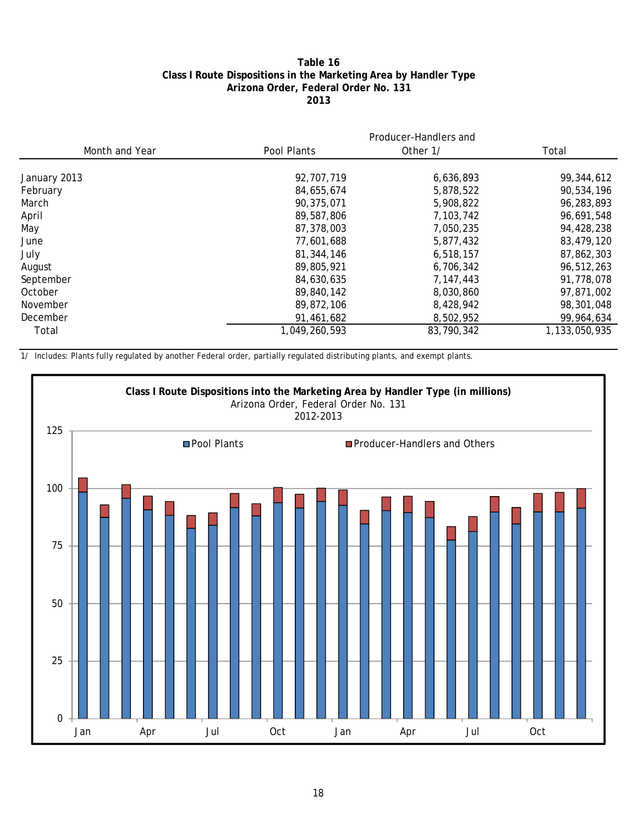#### **Table 16 Class I Route Dispositions in the Marketing Area by Handler Type Arizona Order, Federal Order No. 131 2013**

|                               | Producer-Handlers and |               |  |  |  |  |  |
|-------------------------------|-----------------------|---------------|--|--|--|--|--|
| Month and Year<br>Pool Plants | Other 1/              | Total         |  |  |  |  |  |
|                               |                       |               |  |  |  |  |  |
| 92,707,719<br>January 2013    | 6,636,893             | 99,344,612    |  |  |  |  |  |
| February<br>84,655,674        | 5,878,522             | 90,534,196    |  |  |  |  |  |
| March<br>90,375,071           | 5,908,822             | 96,283,893    |  |  |  |  |  |
| April<br>89,587,806           | 7,103,742             | 96,691,548    |  |  |  |  |  |
| May<br>87,378,003             | 7,050,235             | 94,428,238    |  |  |  |  |  |
| 77,601,688<br>June            | 5,877,432             | 83,479,120    |  |  |  |  |  |
| July<br>81,344,146            | 6,518,157             | 87,862,303    |  |  |  |  |  |
| 89,805,921<br>August          | 6,706,342             | 96,512,263    |  |  |  |  |  |
| September<br>84,630,635       | 7,147,443             | 91,778,078    |  |  |  |  |  |
| October<br>89,840,142         | 8,030,860             | 97,871,002    |  |  |  |  |  |
| November<br>89,872,106        | 8,428,942             | 98,301,048    |  |  |  |  |  |
| December<br>91,461,682        | 8,502,952             | 99,964,634    |  |  |  |  |  |
| 1,049,260,593<br>Total        | 83,790,342            | 1,133,050,935 |  |  |  |  |  |

1/ Includes: Plants fully regulated by another Federal order, partially regulated distributing plants, and exempt plants.

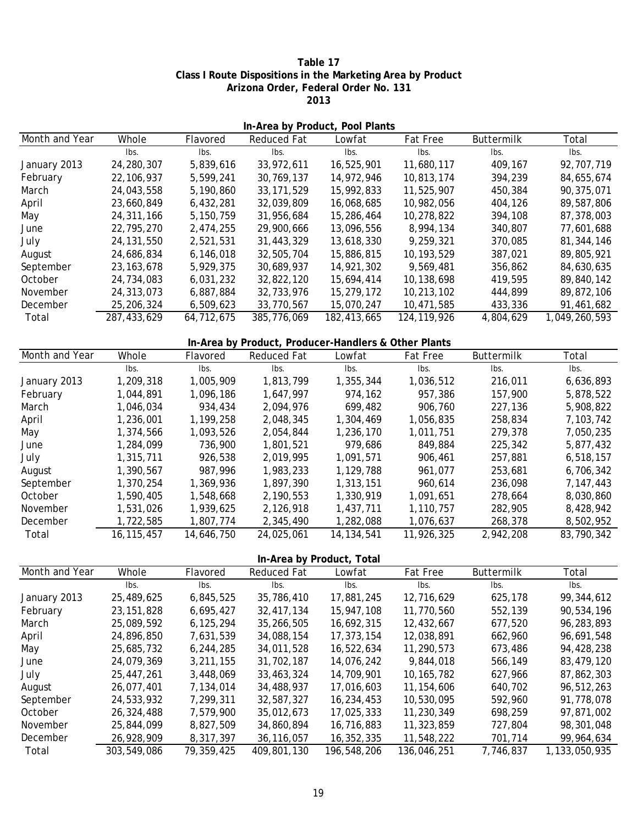#### **Table 17 Class I Route Dispositions in the Marketing Area by Product Arizona Order, Federal Order No. 131 2013**

| In-Area by Product, Pool Plants |              |            |                                                      |              |                 |            |               |  |  |  |  |
|---------------------------------|--------------|------------|------------------------------------------------------|--------------|-----------------|------------|---------------|--|--|--|--|
| Month and Year                  | Whole        | Flavored   | Reduced Fat                                          | Lowfat       | <b>Fat Free</b> | Buttermilk | Total         |  |  |  |  |
|                                 | Ibs.         | Ibs.       | Ibs.                                                 | Ibs.         | Ibs.            | Ibs.       | Ibs.          |  |  |  |  |
| January 2013                    | 24,280,307   | 5,839,616  | 33,972,611                                           | 16,525,901   | 11,680,117      | 409,167    | 92,707,719    |  |  |  |  |
| February                        | 22, 106, 937 | 5,599,241  | 30,769,137                                           | 14,972,946   | 10,813,174      | 394,239    | 84,655,674    |  |  |  |  |
| March                           | 24,043,558   | 5,190,860  | 33, 171, 529                                         | 15,992,833   | 11,525,907      | 450,384    | 90,375,071    |  |  |  |  |
| April                           | 23,660,849   | 6,432,281  | 32,039,809                                           | 16,068,685   | 10,982,056      | 404,126    | 89,587,806    |  |  |  |  |
| May                             | 24,311,166   | 5,150,759  | 31,956,684                                           | 15,286,464   | 10,278,822      | 394,108    | 87,378,003    |  |  |  |  |
| June                            | 22,795,270   | 2,474,255  | 29,900,666                                           | 13,096,556   | 8,994,134       | 340,807    | 77,601,688    |  |  |  |  |
| July                            | 24, 131, 550 | 2,521,531  | 31,443,329                                           | 13,618,330   | 9,259,321       | 370,085    | 81,344,146    |  |  |  |  |
| August                          | 24,686,834   | 6,146,018  | 32,505,704                                           | 15,886,815   | 10,193,529      | 387,021    | 89,805,921    |  |  |  |  |
| September                       | 23, 163, 678 | 5,929,375  | 30,689,937                                           | 14,921,302   | 9,569,481       | 356,862    | 84,630,635    |  |  |  |  |
| October                         | 24,734,083   | 6,031,232  | 32,822,120                                           | 15,694,414   | 10,138,698      | 419,595    | 89,840,142    |  |  |  |  |
| November                        | 24,313,073   | 6,887,884  | 32,733,976                                           | 15,279,172   | 10,213,102      | 444,899    | 89,872,106    |  |  |  |  |
| December                        | 25,206,324   | 6,509,623  | 33,770,567                                           | 15,070,247   | 10,471,585      | 433,336    | 91,461,682    |  |  |  |  |
| Total                           | 287,433,629  | 64,712,675 | 385,776,069                                          | 182,413,665  | 124, 119, 926   | 4,804,629  | 1,049,260,593 |  |  |  |  |
|                                 |              |            |                                                      |              |                 |            |               |  |  |  |  |
|                                 |              |            | In-Area by Product, Producer-Handlers & Other Plants |              |                 |            |               |  |  |  |  |
| Month and Year                  | Whole        | Flavored   | <b>Reduced Fat</b>                                   | Lowfat       | Fat Free        | Buttermilk | Total         |  |  |  |  |
|                                 | Ibs.         | Ibs.       | Ibs.                                                 | Ibs.         | Ibs.            | Ibs.       | Ibs.          |  |  |  |  |
| January 2013                    | 1,209,318    | 1,005,909  | 1,813,799                                            | 1,355,344    | 1,036,512       | 216,011    | 6,636,893     |  |  |  |  |
| February                        | 1,044,891    | 1,096,186  | 1,647,997                                            | 974,162      | 957,386         | 157,900    | 5,878,522     |  |  |  |  |
| March                           | 1,046,034    | 934,434    | 2,094,976                                            | 699,482      | 906,760         | 227,136    | 5,908,822     |  |  |  |  |
| April                           | 1,236,001    | 1,199,258  | 2,048,345                                            | 1,304,469    | 1,056,835       | 258,834    | 7,103,742     |  |  |  |  |
| May                             | 1,374,566    | 1,093,526  | 2,054,844                                            | 1,236,170    | 1,011,751       | 279,378    | 7,050,235     |  |  |  |  |
| June                            | 1,284,099    | 736,900    | 1,801,521                                            | 979,686      | 849,884         | 225,342    | 5,877,432     |  |  |  |  |
| July                            | 1,315,711    | 926,538    | 2,019,995                                            | 1,091,571    | 906,461         | 257,881    | 6,518,157     |  |  |  |  |
| August                          | 1,390,567    | 987,996    | 1,983,233                                            | 1,129,788    | 961,077         | 253,681    | 6,706,342     |  |  |  |  |
| September                       | 1,370,254    | 1,369,936  | 1,897,390                                            | 1,313,151    | 960,614         | 236,098    | 7,147,443     |  |  |  |  |
| October                         | 1,590,405    | 1,548,668  | 2,190,553                                            | 1,330,919    | 1,091,651       | 278,664    | 8,030,860     |  |  |  |  |
| November                        | 1,531,026    | 1,939,625  | 2,126,918                                            | 1,437,711    | 1,110,757       | 282,905    | 8,428,942     |  |  |  |  |
| December                        | 1,722,585    | 1,807,774  | 2,345,490                                            | 1,282,088    | 1,076,637       | 268,378    | 8,502,952     |  |  |  |  |
| Total                           | 16, 115, 457 | 14,646,750 | 24,025,061                                           | 14, 134, 541 | 11,926,325      | 2,942,208  | 83,790,342    |  |  |  |  |

Whole Flavored Reduced Fat Lowfat Fat Free Buttermilk Total lbs. lbs. lbs. lbs. lbs. lbs. lbs. January 2013 25,489,625 6,845,525 35,786,410 17,881,245 12,716,629 625,178 99,344,612 February 6,695,427 23,151,828 32,417,134 15,947,108 11,770,560 552,139 90,534,196 March 25,089,592 6,125,294 35,266,505 16,692,315 12,432,667 677,520 96,283,893 April 24,896,850 7,631,539 34,088,154 17,373,154 12,038,891 662,960 96,691,548 May 25,685,732 6,244,285 34,011,528 16,522,634 11,290,573 673,486 94,428,238 June 24,079,369 3,211,155 31,702,187 14,076,242 9,844,018 566,149 83,479,120 July 25,447,261 3,448,069 33,463,324 14,709,901 10,165,782 627,966 87,862,303 August 26,077,401 7,134,014 34,488,937 17,016,603 11,154,606 640,702 96,512,263 September 7,299,311 24,533,932 32,587,327 16,234,453 10,530,095 592,960 91,778,078 October 7,579,900 26,324,488 35,012,673 17,025,333 11,230,349 698,259 97,871,002 November 8,827,509 25,844,099 34,860,894 16,716,883 11,323,859 727,804 98,301,048 December 8,317,397 26,928,909 36,116,057 16,352,335 11,548,222 701,714 99,964,634 Total 303,549,086 79,359,425 409,801,130 196,548,206 136,046,251 7,746,837 1,133,050,935 **In-Area by Product, Total** Month and Year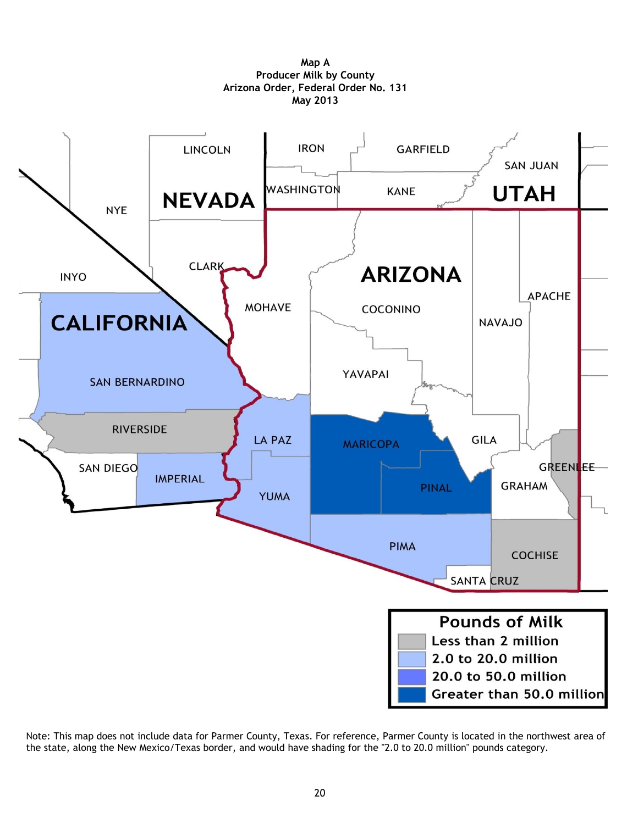

**Map A Producer Milk by County Arizona Order, Federal Order No. 131 May 2013**

Note: This map does not include data for Parmer County, Texas. For reference, Parmer County is located in the northwest area of the state, along the New Mexico/Texas border, and would have shading for the "2.0 to 20.0 million" pounds category.